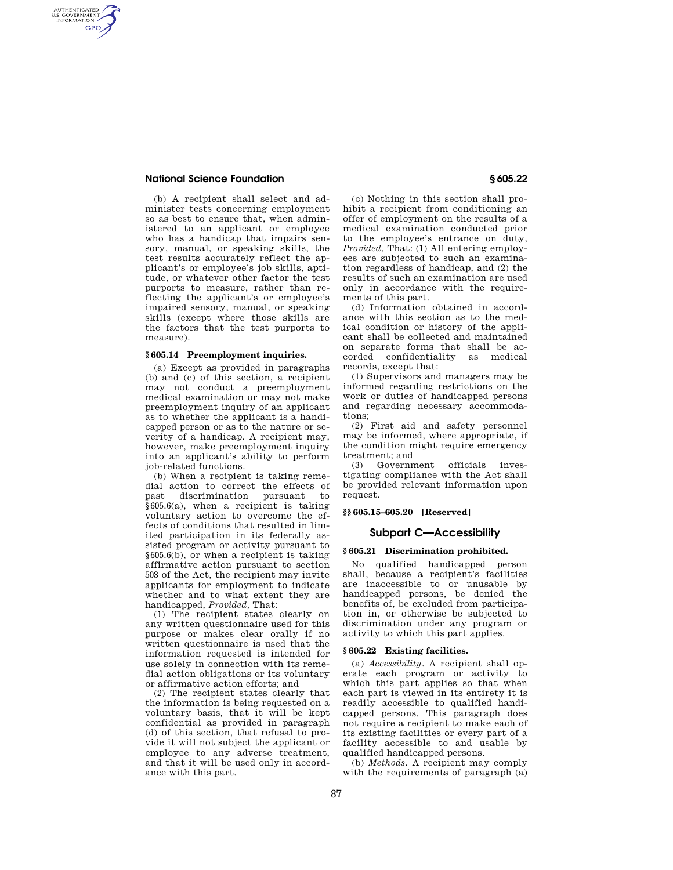### **National Science Foundation § 605.22**

AUTHENTICATED<br>U.S. GOVERNMENT<br>INFORMATION **GPO** 

> (b) A recipient shall select and administer tests concerning employment so as best to ensure that, when administered to an applicant or employee who has a handicap that impairs sensory, manual, or speaking skills, the test results accurately reflect the applicant's or employee's job skills, aptitude, or whatever other factor the test purports to measure, rather than reflecting the applicant's or employee's impaired sensory, manual, or speaking skills (except where those skills are the factors that the test purports to measure).

# **§ 605.14 Preemployment inquiries.**

(a) Except as provided in paragraphs (b) and (c) of this section, a recipient may not conduct a preemployment medical examination or may not make preemployment inquiry of an applicant as to whether the applicant is a handicapped person or as to the nature or severity of a handicap. A recipient may, however, make preemployment inquiry into an applicant's ability to perform job-related functions.

(b) When a recipient is taking remedial action to correct the effects of past discrimination pursuant to §605.6(a), when a recipient is taking voluntary action to overcome the effects of conditions that resulted in limited participation in its federally assisted program or activity pursuant to §605.6(b), or when a recipient is taking affirmative action pursuant to section 503 of the Act, the recipient may invite applicants for employment to indicate whether and to what extent they are handicapped, *Provided,* That:

(1) The recipient states clearly on any written questionnaire used for this purpose or makes clear orally if no written questionnaire is used that the information requested is intended for use solely in connection with its remedial action obligations or its voluntary or affirmative action efforts; and

(2) The recipient states clearly that the information is being requested on a voluntary basis, that it will be kept confidential as provided in paragraph (d) of this section, that refusal to provide it will not subject the applicant or employee to any adverse treatment, and that it will be used only in accordance with this part.

(c) Nothing in this section shall prohibit a recipient from conditioning an offer of employment on the results of a medical examination conducted prior to the employee's entrance on duty, *Provided,* That: (1) All entering employees are subjected to such an examination regardless of handicap, and (2) the results of such an examination are used only in accordance with the requirements of this part.

(d) Information obtained in accordance with this section as to the medical condition or history of the applicant shall be collected and maintained on separate forms that shall be accorded confidentiality as medical records, except that:

(1) Supervisors and managers may be informed regarding restrictions on the work or duties of handicapped persons and regarding necessary accommodations;

(2) First aid and safety personnel may be informed, where appropriate, if the condition might require emergency treatment; and

(3) Government officials investigating compliance with the Act shall be provided relevant information upon request.

### **§§ 605.15–605.20 [Reserved]**

## **Subpart C—Accessibility**

#### **§ 605.21 Discrimination prohibited.**

No qualified handicapped person shall, because a recipient's facilities are inaccessible to or unusable by handicapped persons, be denied the benefits of, be excluded from participation in, or otherwise be subjected to discrimination under any program or activity to which this part applies.

# **§ 605.22 Existing facilities.**

(a) *Accessibility.* A recipient shall operate each program or activity to which this part applies so that when each part is viewed in its entirety it is readily accessible to qualified handicapped persons. This paragraph does not require a recipient to make each of its existing facilities or every part of a facility accessible to and usable by qualified handicapped persons.

(b) *Methods.* A recipient may comply with the requirements of paragraph (a)